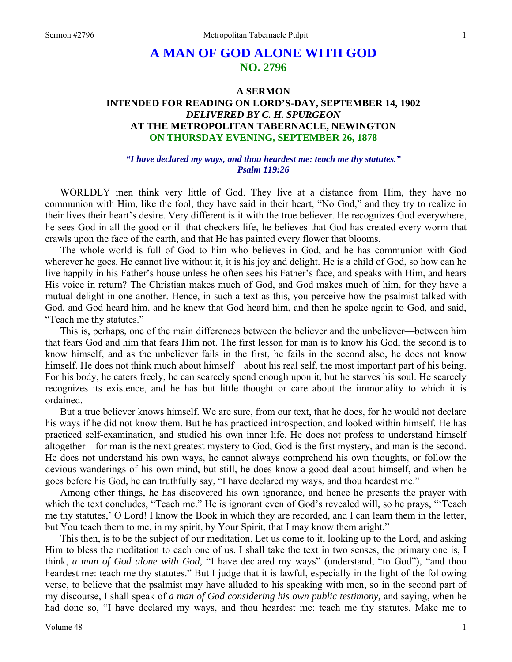# **A MAN OF GOD ALONE WITH GOD NO. 2796**

# **A SERMON INTENDED FOR READING ON LORD'S-DAY, SEPTEMBER 14, 1902**  *DELIVERED BY C. H. SPURGEON*  **AT THE METROPOLITAN TABERNACLE, NEWINGTON ON THURSDAY EVENING, SEPTEMBER 26, 1878**

#### *"I have declared my ways, and thou heardest me: teach me thy statutes." Psalm 119:26*

WORLDLY men think very little of God. They live at a distance from Him, they have no communion with Him, like the fool, they have said in their heart, "No God," and they try to realize in their lives their heart's desire. Very different is it with the true believer. He recognizes God everywhere, he sees God in all the good or ill that checkers life, he believes that God has created every worm that crawls upon the face of the earth, and that He has painted every flower that blooms.

The whole world is full of God to him who believes in God, and he has communion with God wherever he goes. He cannot live without it, it is his joy and delight. He is a child of God, so how can he live happily in his Father's house unless he often sees his Father's face, and speaks with Him, and hears His voice in return? The Christian makes much of God, and God makes much of him, for they have a mutual delight in one another. Hence, in such a text as this, you perceive how the psalmist talked with God, and God heard him, and he knew that God heard him, and then he spoke again to God, and said, "Teach me thy statutes."

This is, perhaps, one of the main differences between the believer and the unbeliever—between him that fears God and him that fears Him not. The first lesson for man is to know his God, the second is to know himself, and as the unbeliever fails in the first, he fails in the second also, he does not know himself. He does not think much about himself—about his real self, the most important part of his being. For his body, he caters freely, he can scarcely spend enough upon it, but he starves his soul. He scarcely recognizes its existence, and he has but little thought or care about the immortality to which it is ordained.

But a true believer knows himself. We are sure, from our text, that he does, for he would not declare his ways if he did not know them. But he has practiced introspection, and looked within himself. He has practiced self-examination, and studied his own inner life. He does not profess to understand himself altogether—for man is the next greatest mystery to God, God is the first mystery, and man is the second. He does not understand his own ways, he cannot always comprehend his own thoughts, or follow the devious wanderings of his own mind, but still, he does know a good deal about himself, and when he goes before his God, he can truthfully say, "I have declared my ways, and thou heardest me."

Among other things, he has discovered his own ignorance, and hence he presents the prayer with which the text concludes, "Teach me." He is ignorant even of God's revealed will, so he prays, "Teach me thy statutes,' O Lord! I know the Book in which they are recorded, and I can learn them in the letter, but You teach them to me, in my spirit, by Your Spirit, that I may know them aright."

This then, is to be the subject of our meditation. Let us come to it, looking up to the Lord, and asking Him to bless the meditation to each one of us. I shall take the text in two senses, the primary one is, I think, *a man of God alone with God,* "I have declared my ways" (understand, "to God"), "and thou heardest me: teach me thy statutes." But I judge that it is lawful, especially in the light of the following verse, to believe that the psalmist may have alluded to his speaking with men, so in the second part of my discourse, I shall speak of *a man of God considering his own public testimony,* and saying, when he had done so, "I have declared my ways, and thou heardest me: teach me thy statutes. Make me to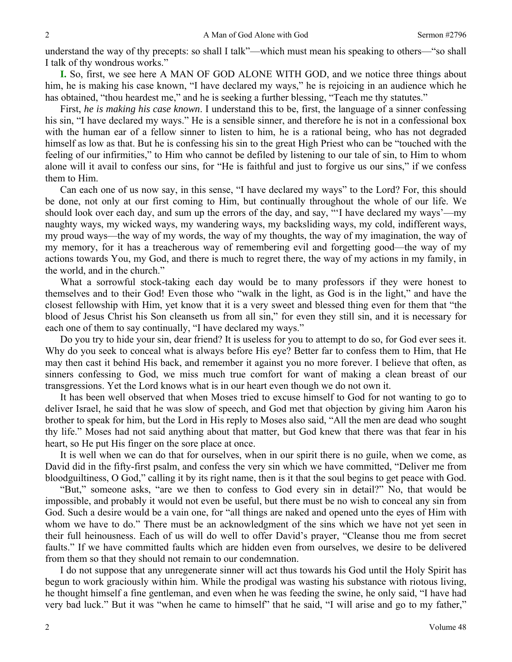understand the way of thy precepts: so shall I talk"—which must mean his speaking to others—"so shall I talk of thy wondrous works."

**I.** So, first, we see here A MAN OF GOD ALONE WITH GOD, and we notice three things about him, he is making his case known, "I have declared my ways," he is rejoicing in an audience which he has obtained, "thou heardest me," and he is seeking a further blessing, "Teach me thy statutes."

First, *he is making his case known*. I understand this to be, first, the language of a sinner confessing his sin, "I have declared my ways." He is a sensible sinner, and therefore he is not in a confessional box with the human ear of a fellow sinner to listen to him, he is a rational being, who has not degraded himself as low as that. But he is confessing his sin to the great High Priest who can be "touched with the feeling of our infirmities," to Him who cannot be defiled by listening to our tale of sin, to Him to whom alone will it avail to confess our sins, for "He is faithful and just to forgive us our sins," if we confess them to Him.

Can each one of us now say, in this sense, "I have declared my ways" to the Lord? For, this should be done, not only at our first coming to Him, but continually throughout the whole of our life. We should look over each day, and sum up the errors of the day, and say, "'I have declared my ways'—my naughty ways, my wicked ways, my wandering ways, my backsliding ways, my cold, indifferent ways, my proud ways—the way of my words, the way of my thoughts, the way of my imagination, the way of my memory, for it has a treacherous way of remembering evil and forgetting good—the way of my actions towards You, my God, and there is much to regret there, the way of my actions in my family, in the world, and in the church."

What a sorrowful stock-taking each day would be to many professors if they were honest to themselves and to their God! Even those who "walk in the light, as God is in the light," and have the closest fellowship with Him, yet know that it is a very sweet and blessed thing even for them that "the blood of Jesus Christ his Son cleanseth us from all sin," for even they still sin, and it is necessary for each one of them to say continually, "I have declared my ways."

Do you try to hide your sin, dear friend? It is useless for you to attempt to do so, for God ever sees it. Why do you seek to conceal what is always before His eye? Better far to confess them to Him, that He may then cast it behind His back, and remember it against you no more forever. I believe that often, as sinners confessing to God, we miss much true comfort for want of making a clean breast of our transgressions. Yet the Lord knows what is in our heart even though we do not own it.

It has been well observed that when Moses tried to excuse himself to God for not wanting to go to deliver Israel, he said that he was slow of speech, and God met that objection by giving him Aaron his brother to speak for him, but the Lord in His reply to Moses also said, "All the men are dead who sought thy life." Moses had not said anything about that matter, but God knew that there was that fear in his heart, so He put His finger on the sore place at once.

It is well when we can do that for ourselves, when in our spirit there is no guile, when we come, as David did in the fifty-first psalm, and confess the very sin which we have committed, "Deliver me from bloodguiltiness, O God," calling it by its right name, then is it that the soul begins to get peace with God.

"But," someone asks, "are we then to confess to God every sin in detail?" No, that would be impossible, and probably it would not even be useful, but there must be no wish to conceal any sin from God. Such a desire would be a vain one, for "all things are naked and opened unto the eyes of Him with whom we have to do." There must be an acknowledgment of the sins which we have not yet seen in their full heinousness. Each of us will do well to offer David's prayer, "Cleanse thou me from secret faults." If we have committed faults which are hidden even from ourselves, we desire to be delivered from them so that they should not remain to our condemnation.

I do not suppose that any unregenerate sinner will act thus towards his God until the Holy Spirit has begun to work graciously within him. While the prodigal was wasting his substance with riotous living, he thought himself a fine gentleman, and even when he was feeding the swine, he only said, "I have had very bad luck." But it was "when he came to himself" that he said, "I will arise and go to my father,"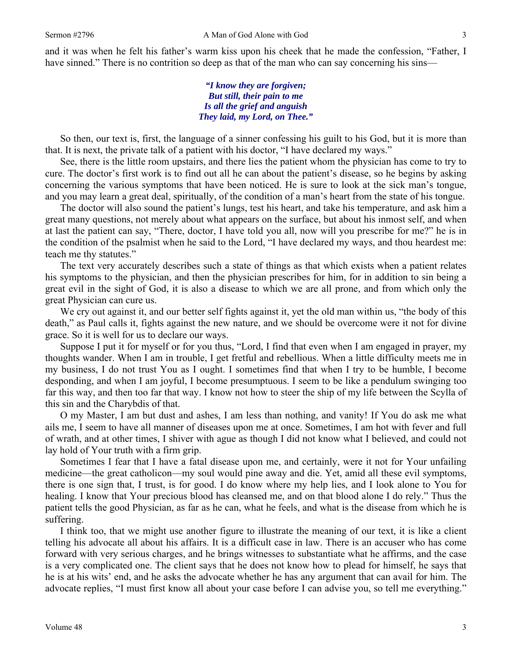and it was when he felt his father's warm kiss upon his cheek that he made the confession, "Father, I have sinned." There is no contrition so deep as that of the man who can say concerning his sins—

> *"I know they are forgiven; But still, their pain to me Is all the grief and anguish They laid, my Lord, on Thee."*

So then, our text is, first, the language of a sinner confessing his guilt to his God, but it is more than that. It is next, the private talk of a patient with his doctor, "I have declared my ways."

See, there is the little room upstairs, and there lies the patient whom the physician has come to try to cure. The doctor's first work is to find out all he can about the patient's disease, so he begins by asking concerning the various symptoms that have been noticed. He is sure to look at the sick man's tongue, and you may learn a great deal, spiritually, of the condition of a man's heart from the state of his tongue.

The doctor will also sound the patient's lungs, test his heart, and take his temperature, and ask him a great many questions, not merely about what appears on the surface, but about his inmost self, and when at last the patient can say, "There, doctor, I have told you all, now will you prescribe for me?" he is in the condition of the psalmist when he said to the Lord, "I have declared my ways, and thou heardest me: teach me thy statutes."

The text very accurately describes such a state of things as that which exists when a patient relates his symptoms to the physician, and then the physician prescribes for him, for in addition to sin being a great evil in the sight of God, it is also a disease to which we are all prone, and from which only the great Physician can cure us.

We cry out against it, and our better self fights against it, yet the old man within us, "the body of this death," as Paul calls it, fights against the new nature, and we should be overcome were it not for divine grace. So it is well for us to declare our ways.

Suppose I put it for myself or for you thus, "Lord, I find that even when I am engaged in prayer, my thoughts wander. When I am in trouble, I get fretful and rebellious. When a little difficulty meets me in my business, I do not trust You as I ought. I sometimes find that when I try to be humble, I become desponding, and when I am joyful, I become presumptuous. I seem to be like a pendulum swinging too far this way, and then too far that way. I know not how to steer the ship of my life between the Scylla of this sin and the Charybdis of that.

O my Master, I am but dust and ashes, I am less than nothing, and vanity! If You do ask me what ails me, I seem to have all manner of diseases upon me at once. Sometimes, I am hot with fever and full of wrath, and at other times, I shiver with ague as though I did not know what I believed, and could not lay hold of Your truth with a firm grip.

Sometimes I fear that I have a fatal disease upon me, and certainly, were it not for Your unfailing medicine—the great catholicon—my soul would pine away and die. Yet, amid all these evil symptoms, there is one sign that, I trust, is for good. I do know where my help lies, and I look alone to You for healing. I know that Your precious blood has cleansed me, and on that blood alone I do rely." Thus the patient tells the good Physician, as far as he can, what he feels, and what is the disease from which he is suffering.

I think too, that we might use another figure to illustrate the meaning of our text, it is like a client telling his advocate all about his affairs. It is a difficult case in law. There is an accuser who has come forward with very serious charges, and he brings witnesses to substantiate what he affirms, and the case is a very complicated one. The client says that he does not know how to plead for himself, he says that he is at his wits' end, and he asks the advocate whether he has any argument that can avail for him. The advocate replies, "I must first know all about your case before I can advise you, so tell me everything."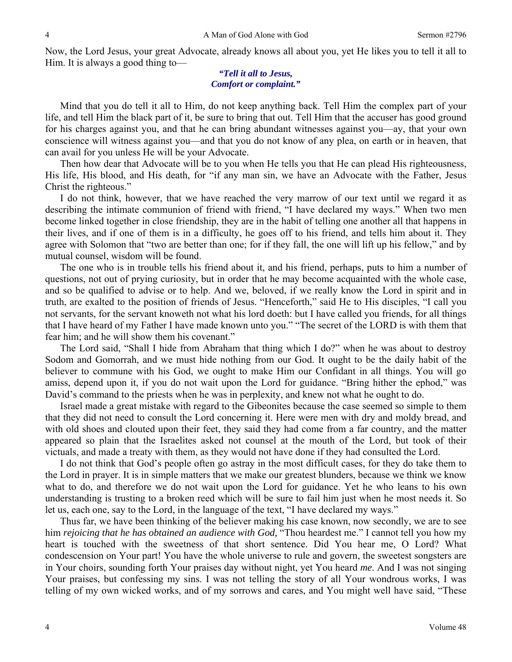Now, the Lord Jesus, your great Advocate, already knows all about you, yet He likes you to tell it all to Him. It is always a good thing to—

#### *"Tell it all to Jesus, Comfort or complaint."*

Mind that you do tell it all to Him, do not keep anything back. Tell Him the complex part of your life, and tell Him the black part of it, be sure to bring that out. Tell Him that the accuser has good ground for his charges against you, and that he can bring abundant witnesses against you—ay, that your own conscience will witness against you—and that you do not know of any plea, on earth or in heaven, that can avail for you unless He will be your Advocate.

Then how dear that Advocate will be to you when He tells you that He can plead His righteousness, His life, His blood, and His death, for "if any man sin, we have an Advocate with the Father, Jesus Christ the righteous."

I do not think, however, that we have reached the very marrow of our text until we regard it as describing the intimate communion of friend with friend, "I have declared my ways." When two men become linked together in close friendship, they are in the habit of telling one another all that happens in their lives, and if one of them is in a difficulty, he goes off to his friend, and tells him about it. They agree with Solomon that "two are better than one; for if they fall, the one will lift up his fellow," and by mutual counsel, wisdom will be found.

The one who is in trouble tells his friend about it, and his friend, perhaps, puts to him a number of questions, not out of prying curiosity, but in order that he may become acquainted with the whole case, and so be qualified to advise or to help. And we, beloved, if we really know the Lord in spirit and in truth, are exalted to the position of friends of Jesus. "Henceforth," said He to His disciples, "I call you not servants, for the servant knoweth not what his lord doeth: but I have called you friends, for all things that I have heard of my Father I have made known unto you." "The secret of the LORD is with them that fear him; and he will show them his covenant."

The Lord said, "Shall I hide from Abraham that thing which I do?" when he was about to destroy Sodom and Gomorrah, and we must hide nothing from our God. It ought to be the daily habit of the believer to commune with his God, we ought to make Him our Confidant in all things. You will go amiss, depend upon it, if you do not wait upon the Lord for guidance. "Bring hither the ephod," was David's command to the priests when he was in perplexity, and knew not what he ought to do.

Israel made a great mistake with regard to the Gibeonites because the case seemed so simple to them that they did not need to consult the Lord concerning it. Here were men with dry and moldy bread, and with old shoes and clouted upon their feet, they said they had come from a far country, and the matter appeared so plain that the Israelites asked not counsel at the mouth of the Lord, but took of their victuals, and made a treaty with them, as they would not have done if they had consulted the Lord.

I do not think that God's people often go astray in the most difficult cases, for they do take them to the Lord in prayer. It is in simple matters that we make our greatest blunders, because we think we know what to do, and therefore we do not wait upon the Lord for guidance. Yet he who leans to his own understanding is trusting to a broken reed which will be sure to fail him just when he most needs it. So let us, each one, say to the Lord, in the language of the text, "I have declared my ways."

Thus far, we have been thinking of the believer making his case known, now secondly, we are to see him *rejoicing that he has obtained an audience with God,* "Thou heardest me." I cannot tell you how my heart is touched with the sweetness of that short sentence. Did You hear me, O Lord? What condescension on Your part! You have the whole universe to rule and govern, the sweetest songsters are in Your choirs, sounding forth Your praises day without night, yet You heard *me*. And I was not singing Your praises, but confessing my sins. I was not telling the story of all Your wondrous works, I was telling of my own wicked works, and of my sorrows and cares, and You might well have said, "These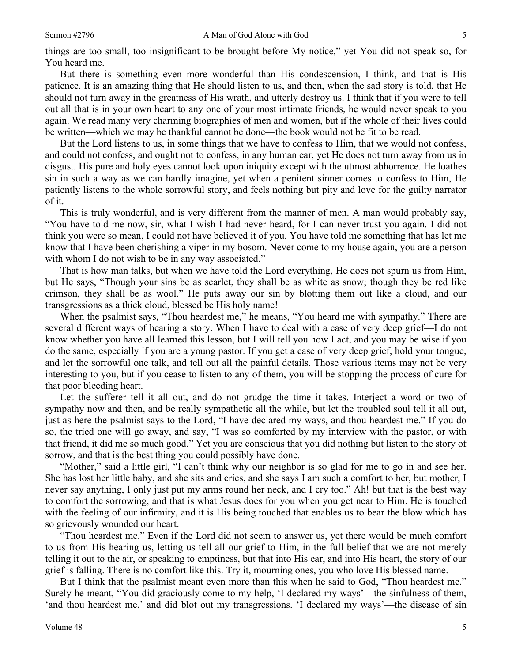things are too small, too insignificant to be brought before My notice," yet You did not speak so, for You heard me.

But there is something even more wonderful than His condescension, I think, and that is His patience. It is an amazing thing that He should listen to us, and then, when the sad story is told, that He should not turn away in the greatness of His wrath, and utterly destroy us. I think that if you were to tell out all that is in your own heart to any one of your most intimate friends, he would never speak to you again. We read many very charming biographies of men and women, but if the whole of their lives could be written—which we may be thankful cannot be done—the book would not be fit to be read.

But the Lord listens to us, in some things that we have to confess to Him, that we would not confess, and could not confess, and ought not to confess, in any human ear, yet He does not turn away from us in disgust. His pure and holy eyes cannot look upon iniquity except with the utmost abhorrence. He loathes sin in such a way as we can hardly imagine, yet when a penitent sinner comes to confess to Him, He patiently listens to the whole sorrowful story, and feels nothing but pity and love for the guilty narrator of it.

This is truly wonderful, and is very different from the manner of men. A man would probably say, "You have told me now, sir, what I wish I had never heard, for I can never trust you again. I did not think you were so mean, I could not have believed it of you. You have told me something that has let me know that I have been cherishing a viper in my bosom. Never come to my house again, you are a person with whom I do not wish to be in any way associated."

That is how man talks, but when we have told the Lord everything, He does not spurn us from Him, but He says, "Though your sins be as scarlet, they shall be as white as snow; though they be red like crimson, they shall be as wool." He puts away our sin by blotting them out like a cloud, and our transgressions as a thick cloud, blessed be His holy name!

When the psalmist says, "Thou heardest me," he means, "You heard me with sympathy." There are several different ways of hearing a story. When I have to deal with a case of very deep grief—I do not know whether you have all learned this lesson, but I will tell you how I act, and you may be wise if you do the same, especially if you are a young pastor. If you get a case of very deep grief, hold your tongue, and let the sorrowful one talk, and tell out all the painful details. Those various items may not be very interesting to you, but if you cease to listen to any of them, you will be stopping the process of cure for that poor bleeding heart.

Let the sufferer tell it all out, and do not grudge the time it takes. Interject a word or two of sympathy now and then, and be really sympathetic all the while, but let the troubled soul tell it all out, just as here the psalmist says to the Lord, "I have declared my ways, and thou heardest me." If you do so, the tried one will go away, and say, "I was so comforted by my interview with the pastor, or with that friend, it did me so much good." Yet you are conscious that you did nothing but listen to the story of sorrow, and that is the best thing you could possibly have done.

"Mother," said a little girl, "I can't think why our neighbor is so glad for me to go in and see her. She has lost her little baby, and she sits and cries, and she says I am such a comfort to her, but mother, I never say anything, I only just put my arms round her neck, and I cry too." Ah! but that is the best way to comfort the sorrowing, and that is what Jesus does for you when you get near to Him. He is touched with the feeling of our infirmity, and it is His being touched that enables us to bear the blow which has so grievously wounded our heart.

"Thou heardest me." Even if the Lord did not seem to answer us, yet there would be much comfort to us from His hearing us, letting us tell all our grief to Him, in the full belief that we are not merely telling it out to the air, or speaking to emptiness, but that into His ear, and into His heart, the story of our grief is falling. There is no comfort like this. Try it, mourning ones, you who love His blessed name.

But I think that the psalmist meant even more than this when he said to God, "Thou heardest me." Surely he meant, "You did graciously come to my help, 'I declared my ways'—the sinfulness of them, 'and thou heardest me,' and did blot out my transgressions. 'I declared my ways'—the disease of sin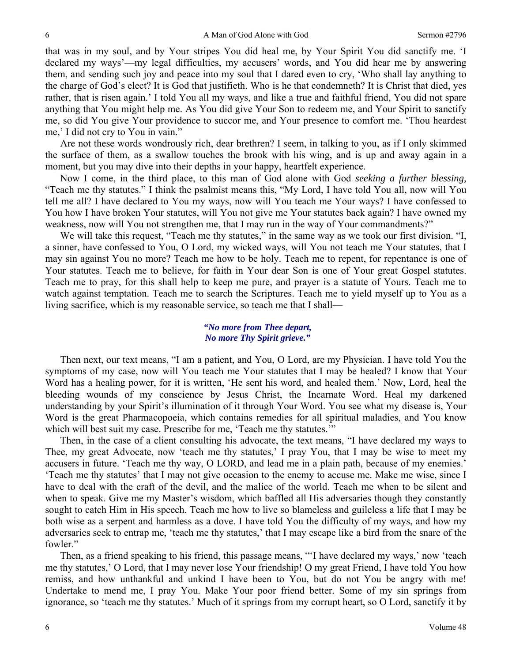that was in my soul, and by Your stripes You did heal me, by Your Spirit You did sanctify me. 'I declared my ways'—my legal difficulties, my accusers' words, and You did hear me by answering them, and sending such joy and peace into my soul that I dared even to cry, 'Who shall lay anything to the charge of God's elect? It is God that justifieth. Who is he that condemneth? It is Christ that died, yes rather, that is risen again.' I told You all my ways, and like a true and faithful friend, You did not spare anything that You might help me. As You did give Your Son to redeem me, and Your Spirit to sanctify me, so did You give Your providence to succor me, and Your presence to comfort me. 'Thou heardest me,' I did not cry to You in vain."

Are not these words wondrously rich, dear brethren? I seem, in talking to you, as if I only skimmed the surface of them, as a swallow touches the brook with his wing, and is up and away again in a moment, but you may dive into their depths in your happy, heartfelt experience.

Now I come, in the third place, to this man of God alone with God *seeking a further blessing,*  "Teach me thy statutes." I think the psalmist means this, "My Lord, I have told You all, now will You tell me all? I have declared to You my ways, now will You teach me Your ways? I have confessed to You how I have broken Your statutes, will You not give me Your statutes back again? I have owned my weakness, now will You not strengthen me, that I may run in the way of Your commandments?"

We will take this request, "Teach me thy statutes," in the same way as we took our first division. "I, a sinner, have confessed to You, O Lord, my wicked ways, will You not teach me Your statutes, that I may sin against You no more? Teach me how to be holy. Teach me to repent, for repentance is one of Your statutes. Teach me to believe, for faith in Your dear Son is one of Your great Gospel statutes. Teach me to pray, for this shall help to keep me pure, and prayer is a statute of Yours. Teach me to watch against temptation. Teach me to search the Scriptures. Teach me to yield myself up to You as a living sacrifice, which is my reasonable service, so teach me that I shall—

## *"No more from Thee depart, No more Thy Spirit grieve."*

Then next, our text means, "I am a patient, and You, O Lord, are my Physician. I have told You the symptoms of my case, now will You teach me Your statutes that I may be healed? I know that Your Word has a healing power, for it is written, 'He sent his word, and healed them.' Now, Lord, heal the bleeding wounds of my conscience by Jesus Christ, the Incarnate Word. Heal my darkened understanding by your Spirit's illumination of it through Your Word. You see what my disease is, Your Word is the great Pharmacopoeia, which contains remedies for all spiritual maladies, and You know which will best suit my case. Prescribe for me, 'Teach me thy statutes.'"

Then, in the case of a client consulting his advocate, the text means, "I have declared my ways to Thee, my great Advocate, now 'teach me thy statutes,' I pray You, that I may be wise to meet my accusers in future. 'Teach me thy way, O LORD, and lead me in a plain path, because of my enemies.' 'Teach me thy statutes' that I may not give occasion to the enemy to accuse me. Make me wise, since I have to deal with the craft of the devil, and the malice of the world. Teach me when to be silent and when to speak. Give me my Master's wisdom, which baffled all His adversaries though they constantly sought to catch Him in His speech. Teach me how to live so blameless and guileless a life that I may be both wise as a serpent and harmless as a dove. I have told You the difficulty of my ways, and how my adversaries seek to entrap me, 'teach me thy statutes,' that I may escape like a bird from the snare of the fowler."

Then, as a friend speaking to his friend, this passage means, "'I have declared my ways,' now 'teach me thy statutes,' O Lord, that I may never lose Your friendship! O my great Friend, I have told You how remiss, and how unthankful and unkind I have been to You, but do not You be angry with me! Undertake to mend me, I pray You. Make Your poor friend better. Some of my sin springs from ignorance, so 'teach me thy statutes.' Much of it springs from my corrupt heart, so O Lord, sanctify it by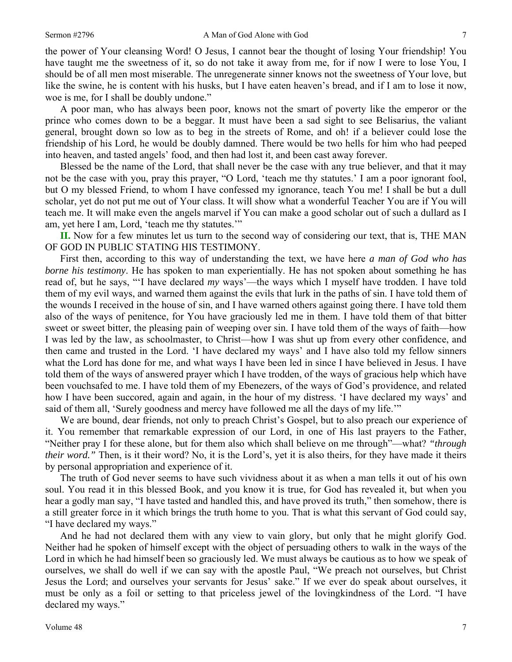the power of Your cleansing Word! O Jesus, I cannot bear the thought of losing Your friendship! You have taught me the sweetness of it, so do not take it away from me, for if now I were to lose You, I should be of all men most miserable. The unregenerate sinner knows not the sweetness of Your love, but like the swine, he is content with his husks, but I have eaten heaven's bread, and if I am to lose it now, woe is me, for I shall be doubly undone."

A poor man, who has always been poor, knows not the smart of poverty like the emperor or the prince who comes down to be a beggar. It must have been a sad sight to see Belisarius, the valiant general, brought down so low as to beg in the streets of Rome, and oh! if a believer could lose the friendship of his Lord, he would be doubly damned. There would be two hells for him who had peeped into heaven, and tasted angels' food, and then had lost it, and been cast away forever.

Blessed be the name of the Lord, that shall never be the case with any true believer, and that it may not be the case with you, pray this prayer, "O Lord, 'teach me thy statutes.' I am a poor ignorant fool, but O my blessed Friend, to whom I have confessed my ignorance, teach You me! I shall be but a dull scholar, yet do not put me out of Your class. It will show what a wonderful Teacher You are if You will teach me. It will make even the angels marvel if You can make a good scholar out of such a dullard as I am, yet here I am, Lord, 'teach me thy statutes.'"

**II.** Now for a few minutes let us turn to the second way of considering our text, that is, THE MAN OF GOD IN PUBLIC STATING HIS TESTIMONY.

First then, according to this way of understanding the text, we have here *a man of God who has borne his testimony*. He has spoken to man experientially. He has not spoken about something he has read of, but he says, "'I have declared *my* ways'—the ways which I myself have trodden. I have told them of my evil ways, and warned them against the evils that lurk in the paths of sin. I have told them of the wounds I received in the house of sin, and I have warned others against going there. I have told them also of the ways of penitence, for You have graciously led me in them. I have told them of that bitter sweet or sweet bitter, the pleasing pain of weeping over sin. I have told them of the ways of faith—how I was led by the law, as schoolmaster, to Christ—how I was shut up from every other confidence, and then came and trusted in the Lord. 'I have declared my ways' and I have also told my fellow sinners what the Lord has done for me, and what ways I have been led in since I have believed in Jesus. I have told them of the ways of answered prayer which I have trodden, of the ways of gracious help which have been vouchsafed to me. I have told them of my Ebenezers, of the ways of God's providence, and related how I have been succored, again and again, in the hour of my distress. 'I have declared my ways' and said of them all, 'Surely goodness and mercy have followed me all the days of my life.'"

We are bound, dear friends, not only to preach Christ's Gospel, but to also preach our experience of it. You remember that remarkable expression of our Lord, in one of His last prayers to the Father, "Neither pray I for these alone, but for them also which shall believe on me through"—what? *"through their word."* Then, is it their word? No, it is the Lord's, yet it is also theirs, for they have made it theirs by personal appropriation and experience of it.

The truth of God never seems to have such vividness about it as when a man tells it out of his own soul. You read it in this blessed Book, and you know it is true, for God has revealed it, but when you hear a godly man say, "I have tasted and handled this, and have proved its truth," then somehow, there is a still greater force in it which brings the truth home to you. That is what this servant of God could say, "I have declared my ways."

And he had not declared them with any view to vain glory, but only that he might glorify God. Neither had he spoken of himself except with the object of persuading others to walk in the ways of the Lord in which he had himself been so graciously led. We must always be cautious as to how we speak of ourselves, we shall do well if we can say with the apostle Paul, "We preach not ourselves, but Christ Jesus the Lord; and ourselves your servants for Jesus' sake." If we ever do speak about ourselves, it must be only as a foil or setting to that priceless jewel of the lovingkindness of the Lord. "I have declared my ways."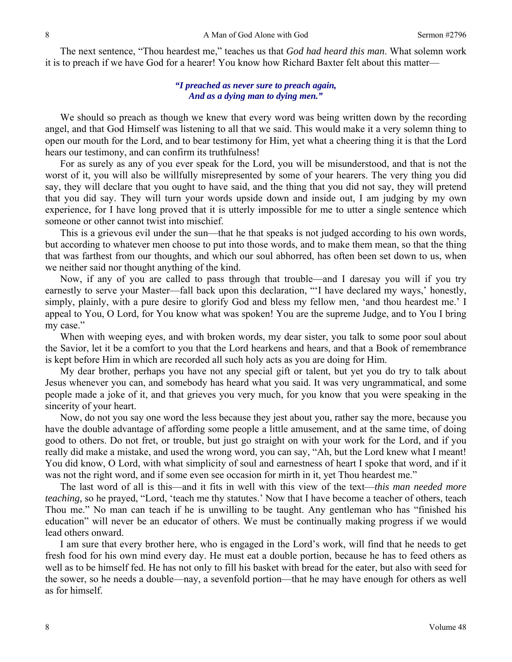The next sentence, "Thou heardest me," teaches us that *God had heard this man*. What solemn work it is to preach if we have God for a hearer! You know how Richard Baxter felt about this matter—

### *"I preached as never sure to preach again, And as a dying man to dying men."*

We should so preach as though we knew that every word was being written down by the recording angel, and that God Himself was listening to all that we said. This would make it a very solemn thing to open our mouth for the Lord, and to bear testimony for Him, yet what a cheering thing it is that the Lord hears our testimony, and can confirm its truthfulness!

For as surely as any of you ever speak for the Lord, you will be misunderstood, and that is not the worst of it, you will also be willfully misrepresented by some of your hearers. The very thing you did say, they will declare that you ought to have said, and the thing that you did not say, they will pretend that you did say. They will turn your words upside down and inside out, I am judging by my own experience, for I have long proved that it is utterly impossible for me to utter a single sentence which someone or other cannot twist into mischief.

This is a grievous evil under the sun—that he that speaks is not judged according to his own words, but according to whatever men choose to put into those words, and to make them mean, so that the thing that was farthest from our thoughts, and which our soul abhorred, has often been set down to us, when we neither said nor thought anything of the kind.

Now, if any of you are called to pass through that trouble—and I daresay you will if you try earnestly to serve your Master—fall back upon this declaration, "'I have declared my ways,' honestly, simply, plainly, with a pure desire to glorify God and bless my fellow men, 'and thou heardest me.' I appeal to You, O Lord, for You know what was spoken! You are the supreme Judge, and to You I bring my case."

When with weeping eyes, and with broken words, my dear sister, you talk to some poor soul about the Savior, let it be a comfort to you that the Lord hearkens and hears, and that a Book of remembrance is kept before Him in which are recorded all such holy acts as you are doing for Him.

My dear brother, perhaps you have not any special gift or talent, but yet you do try to talk about Jesus whenever you can, and somebody has heard what you said. It was very ungrammatical, and some people made a joke of it, and that grieves you very much, for you know that you were speaking in the sincerity of your heart.

Now, do not you say one word the less because they jest about you, rather say the more, because you have the double advantage of affording some people a little amusement, and at the same time, of doing good to others. Do not fret, or trouble, but just go straight on with your work for the Lord, and if you really did make a mistake, and used the wrong word, you can say, "Ah, but the Lord knew what I meant! You did know, O Lord, with what simplicity of soul and earnestness of heart I spoke that word, and if it was not the right word, and if some even see occasion for mirth in it, yet Thou heardest me."

The last word of all is this—and it fits in well with this view of the text—*this man needed more teaching,* so he prayed, "Lord, 'teach me thy statutes.' Now that I have become a teacher of others, teach Thou me." No man can teach if he is unwilling to be taught. Any gentleman who has "finished his education" will never be an educator of others. We must be continually making progress if we would lead others onward.

I am sure that every brother here, who is engaged in the Lord's work, will find that he needs to get fresh food for his own mind every day. He must eat a double portion, because he has to feed others as well as to be himself fed. He has not only to fill his basket with bread for the eater, but also with seed for the sower, so he needs a double—nay, a sevenfold portion—that he may have enough for others as well as for himself.